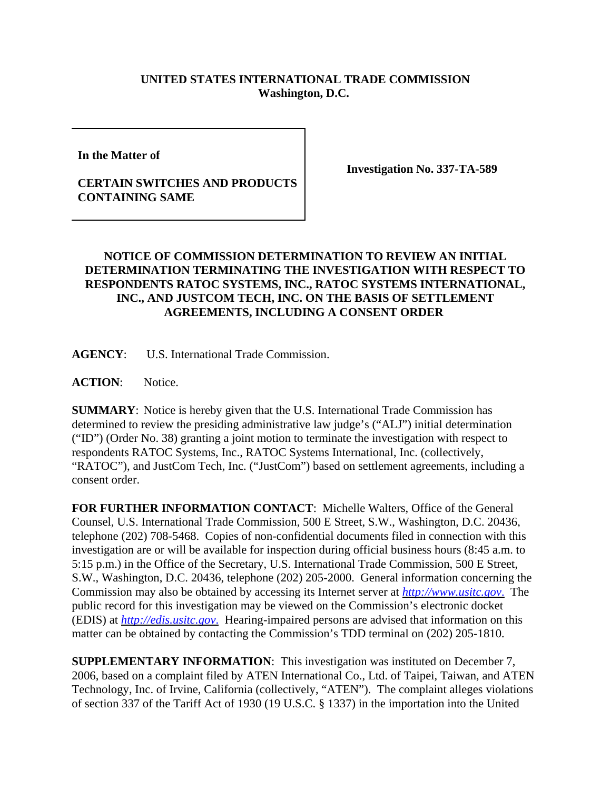## **UNITED STATES INTERNATIONAL TRADE COMMISSION Washington, D.C.**

**In the Matter of** 

## **CERTAIN SWITCHES AND PRODUCTS CONTAINING SAME**

**Investigation No. 337-TA-589**

## **NOTICE OF COMMISSION DETERMINATION TO REVIEW AN INITIAL DETERMINATION TERMINATING THE INVESTIGATION WITH RESPECT TO RESPONDENTS RATOC SYSTEMS, INC., RATOC SYSTEMS INTERNATIONAL, INC., AND JUSTCOM TECH, INC. ON THE BASIS OF SETTLEMENT AGREEMENTS, INCLUDING A CONSENT ORDER**

**AGENCY**: U.S. International Trade Commission.

**ACTION**: Notice.

**SUMMARY**: Notice is hereby given that the U.S. International Trade Commission has determined to review the presiding administrative law judge's ("ALJ") initial determination ("ID") (Order No. 38) granting a joint motion to terminate the investigation with respect to respondents RATOC Systems, Inc., RATOC Systems International, Inc. (collectively, "RATOC"), and JustCom Tech, Inc. ("JustCom") based on settlement agreements, including a consent order.

**FOR FURTHER INFORMATION CONTACT**: Michelle Walters, Office of the General Counsel, U.S. International Trade Commission, 500 E Street, S.W., Washington, D.C. 20436, telephone (202) 708-5468. Copies of non-confidential documents filed in connection with this investigation are or will be available for inspection during official business hours (8:45 a.m. to 5:15 p.m.) in the Office of the Secretary, U.S. International Trade Commission, 500 E Street, S.W., Washington, D.C. 20436, telephone (202) 205-2000. General information concerning the Commission may also be obtained by accessing its Internet server at *http://www.usitc.gov*. The public record for this investigation may be viewed on the Commission's electronic docket (EDIS) at *http://edis.usitc.gov*. Hearing-impaired persons are advised that information on this matter can be obtained by contacting the Commission's TDD terminal on (202) 205-1810.

**SUPPLEMENTARY INFORMATION**: This investigation was instituted on December 7, 2006, based on a complaint filed by ATEN International Co., Ltd. of Taipei, Taiwan, and ATEN Technology, Inc. of Irvine, California (collectively, "ATEN"). The complaint alleges violations of section 337 of the Tariff Act of 1930 (19 U.S.C. § 1337) in the importation into the United